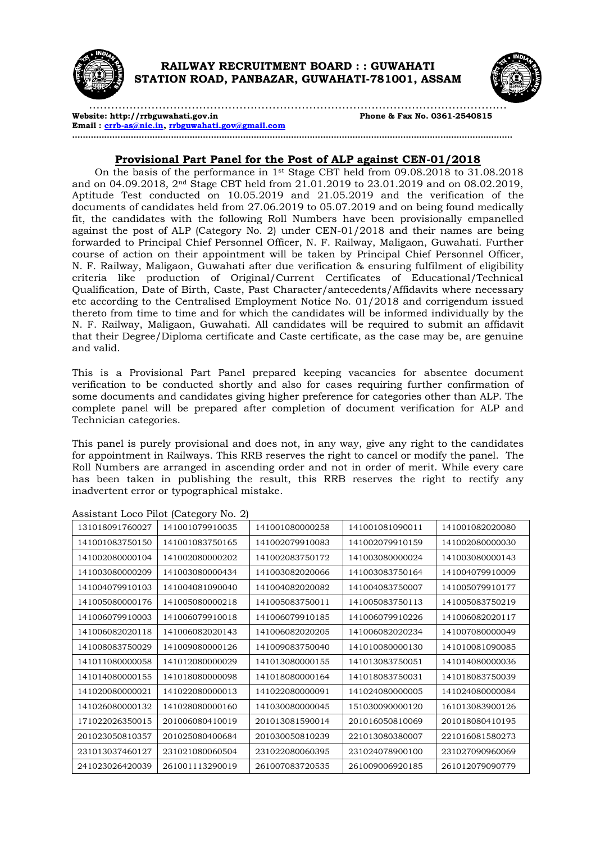



**Website: http://rrbguwahati.gov.in Phone & Fax No. 0361-2540815 Email : crrb-as@nic.in, rrbguwahati.gov@gmail.com …………………………………………………………………………………………………………………………………………………**

## **Provisional Part Panel for the Post of ALP against CEN-01/2018**

On the basis of the performance in 1st Stage CBT held from 09.08.2018 to 31.08.2018 and on 04.09.2018, 2nd Stage CBT held from 21.01.2019 to 23.01.2019 and on 08.02.2019, Aptitude Test conducted on 10.05.2019 and 21.05.2019 and the verification of the documents of candidates held from 27.06.2019 to 05.07.2019 and on being found medically fit, the candidates with the following Roll Numbers have been provisionally empanelled against the post of ALP (Category No. 2) under CEN-01/2018 and their names are being forwarded to Principal Chief Personnel Officer, N. F. Railway, Maligaon, Guwahati. Further course of action on their appointment will be taken by Principal Chief Personnel Officer, N. F. Railway, Maligaon, Guwahati after due verification & ensuring fulfilment of eligibility criteria like production of Original/Current Certificates of Educational/Technical Qualification, Date of Birth, Caste, Past Character/antecedents/Affidavits where necessary etc according to the Centralised Employment Notice No. 01/2018 and corrigendum issued thereto from time to time and for which the candidates will be informed individually by the N. F. Railway, Maligaon, Guwahati. All candidates will be required to submit an affidavit that their Degree/Diploma certificate and Caste certificate, as the case may be, are genuine and valid.

This is a Provisional Part Panel prepared keeping vacancies for absentee document verification to be conducted shortly and also for cases requiring further confirmation of some documents and candidates giving higher preference for categories other than ALP. The complete panel will be prepared after completion of document verification for ALP and Technician categories.

This panel is purely provisional and does not, in any way, give any right to the candidates for appointment in Railways. This RRB reserves the right to cancel or modify the panel. The Roll Numbers are arranged in ascending order and not in order of merit. While every care has been taken in publishing the result, this RRB reserves the right to rectify any inadvertent error or typographical mistake.

| 131018091760027 | 141001079910035 | 141001080000258 | 141001081090011 | 141001082020080 |
|-----------------|-----------------|-----------------|-----------------|-----------------|
| 141001083750150 | 141001083750165 | 141002079910083 | 141002079910159 | 141002080000030 |
| 141002080000104 | 141002080000202 | 141002083750172 | 141003080000024 | 141003080000143 |
| 141003080000209 | 141003080000434 | 141003082020066 | 141003083750164 | 141004079910009 |
| 141004079910103 | 141004081090040 | 141004082020082 | 141004083750007 | 141005079910177 |
| 141005080000176 | 141005080000218 | 141005083750011 | 141005083750113 | 141005083750219 |
| 141006079910003 | 141006079910018 | 141006079910185 | 141006079910226 | 141006082020117 |
| 141006082020118 | 141006082020143 | 141006082020205 | 141006082020234 | 141007080000049 |
| 141008083750029 | 141009080000126 | 141009083750040 | 141010080000130 | 141010081090085 |
| 141011080000058 | 141012080000029 | 141013080000155 | 141013083750051 | 141014080000036 |
| 141014080000155 | 141018080000098 | 141018080000164 | 141018083750031 | 141018083750039 |
| 141020080000021 | 141022080000013 | 141022080000091 | 141024080000005 | 141024080000084 |
| 141026080000132 | 141028080000160 | 141030080000045 | 151030090000120 | 161013083900126 |
| 171022026350015 | 201006080410019 | 201013081590014 | 201016050810069 | 201018080410195 |
| 201023050810357 | 201025080400684 | 201030050810239 | 221013080380007 | 221016081580273 |
| 231013037460127 | 231021080060504 | 231022080060395 | 231024078900100 | 231027090960069 |
| 241023026420039 | 261001113290019 | 261007083720535 | 261009006920185 | 261012079090779 |

Assistant Loco Pilot (Category No. 2)